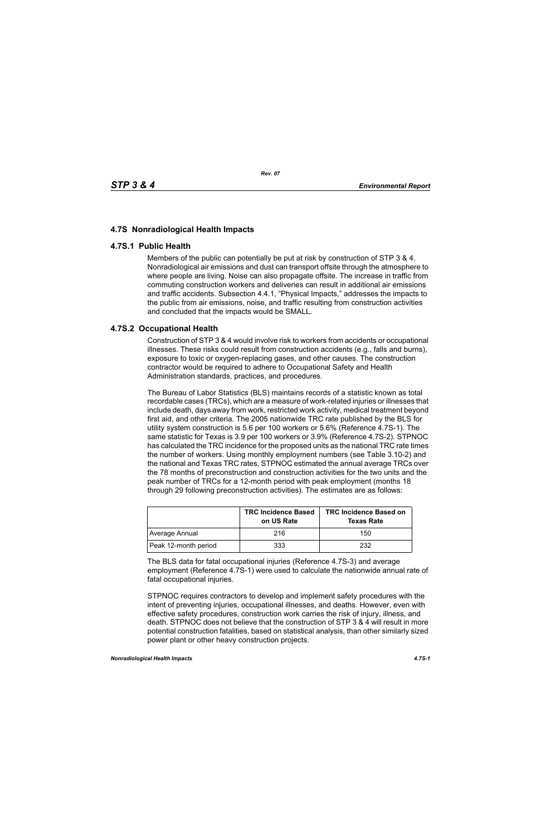## **4.7S Nonradiological Health Impacts**

## **4.7S.1 Public Health**

Members of the public can potentially be put at risk by construction of STP 3 & 4. Nonradiological air emissions and dust can transport offsite through the atmosphere to where people are living. Noise can also propagate offsite. The increase in traffic from commuting construction workers and deliveries can result in additional air emissions and traffic accidents. Subsection 4.4.1, "Physical Impacts," addresses the impacts to the public from air emissions, noise, and traffic resulting from construction activities and concluded that the impacts would be SMALL.

## **4.7S.2 Occupational Health**

Construction of STP 3 & 4 would involve risk to workers from accidents or occupational illnesses. These risks could result from construction accidents (e.g., falls and burns), exposure to toxic or oxygen-replacing gases, and other causes. The construction contractor would be required to adhere to Occupational Safety and Health Administration standards, practices, and procedures.

The Bureau of Labor Statistics (BLS) maintains records of a statistic known as total recordable cases (TRCs), which are a measure of work-related injuries or illnesses that include death, days away from work, restricted work activity, medical treatment beyond first aid, and other criteria. The 2005 nationwide TRC rate published by the BLS for utility system construction is 5.6 per 100 workers or 5.6% (Reference 4.7S-1). The same statistic for Texas is 3.9 per 100 workers or 3.9% (Reference 4.7S-2). STPNOC has calculated the TRC incidence for the proposed units as the national TRC rate times the number of workers. Using monthly employment numbers (see Table 3.10-2) and the national and Texas TRC rates, STPNOC estimated the annual average TRCs over the 78 months of preconstruction and construction activities for the two units and the peak number of TRCs for a 12-month period with peak employment (months 18 through 29 following preconstruction activities). The estimates are as follows:

|                      | <b>TRC Incidence Based</b><br>on US Rate | <b>TRC Incidence Based on</b><br><b>Texas Rate</b> |
|----------------------|------------------------------------------|----------------------------------------------------|
| Average Annual       | 216                                      | 150                                                |
| Peak 12-month period | 333                                      | 232                                                |

The BLS data for fatal occupational injuries (Reference 4.7S-3) and average employment (Reference 4.7S-1) were used to calculate the nationwide annual rate of fatal occupational injuries.

STPNOC requires contractors to develop and implement safety procedures with the intent of preventing injuries, occupational illnesses, and deaths. However, even with effective safety procedures, construction work carries the risk of injury, illness, and death. STPNOC does not believe that the construction of STP 3 & 4 will result in more potential construction fatalities, based on statistical analysis, than other similarly sized power plant or other heavy construction projects.